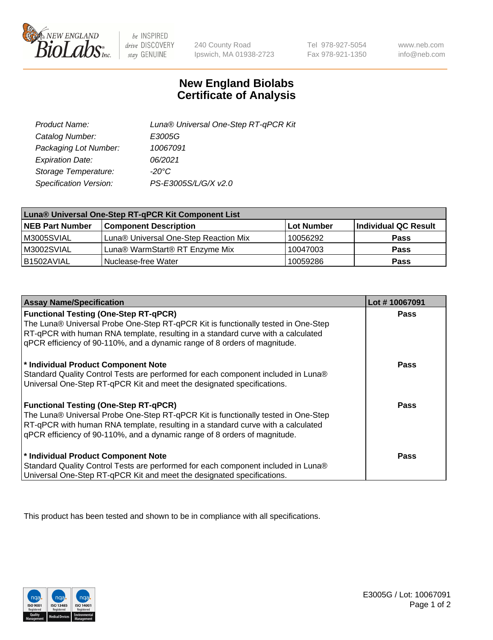

 $be$  INSPIRED drive DISCOVERY stay GENUINE

240 County Road Ipswich, MA 01938-2723

Tel 978-927-5054 Fax 978-921-1350

www.neb.com info@neb.com

## **New England Biolabs Certificate of Analysis**

| Product Name:           | Luna® Universal One-Step RT-qPCR Kit |
|-------------------------|--------------------------------------|
| Catalog Number:         | E3005G                               |
| Packaging Lot Number:   | 10067091                             |
| <b>Expiration Date:</b> | 06/2021                              |
| Storage Temperature:    | $-20^{\circ}$ C                      |
| Specification Version:  | PS-E3005S/L/G/X v2.0                 |

| Luna® Universal One-Step RT-qPCR Kit Component List |                                       |            |                      |  |
|-----------------------------------------------------|---------------------------------------|------------|----------------------|--|
| <b>NEB Part Number</b>                              | <b>Component Description</b>          | Lot Number | Individual QC Result |  |
| M3005SVIAL                                          | Luna® Universal One-Step Reaction Mix | 10056292   | <b>Pass</b>          |  |
| M3002SVIAL                                          | Luna® WarmStart® RT Enzyme Mix        | 10047003   | <b>Pass</b>          |  |
| B1502AVIAL                                          | Nuclease-free Water                   | 10059286   | <b>Pass</b>          |  |

| <b>Assay Name/Specification</b>                                                                                                                                                                                                                                                                    | Lot #10067091 |
|----------------------------------------------------------------------------------------------------------------------------------------------------------------------------------------------------------------------------------------------------------------------------------------------------|---------------|
| <b>Functional Testing (One-Step RT-qPCR)</b><br>The Luna® Universal Probe One-Step RT-qPCR Kit is functionally tested in One-Step                                                                                                                                                                  | <b>Pass</b>   |
| RT-qPCR with human RNA template, resulting in a standard curve with a calculated<br>gPCR efficiency of 90-110%, and a dynamic range of 8 orders of magnitude.                                                                                                                                      |               |
| * Individual Product Component Note<br>Standard Quality Control Tests are performed for each component included in Luna®<br>Universal One-Step RT-qPCR Kit and meet the designated specifications.                                                                                                 | Pass          |
| <b>Functional Testing (One-Step RT-qPCR)</b><br>The Luna® Universal Probe One-Step RT-qPCR Kit is functionally tested in One-Step<br>RT-qPCR with human RNA template, resulting in a standard curve with a calculated<br>gPCR efficiency of 90-110%, and a dynamic range of 8 orders of magnitude. | Pass          |
| * Individual Product Component Note<br>Standard Quality Control Tests are performed for each component included in Luna®<br>Universal One-Step RT-qPCR Kit and meet the designated specifications.                                                                                                 | <b>Pass</b>   |

This product has been tested and shown to be in compliance with all specifications.